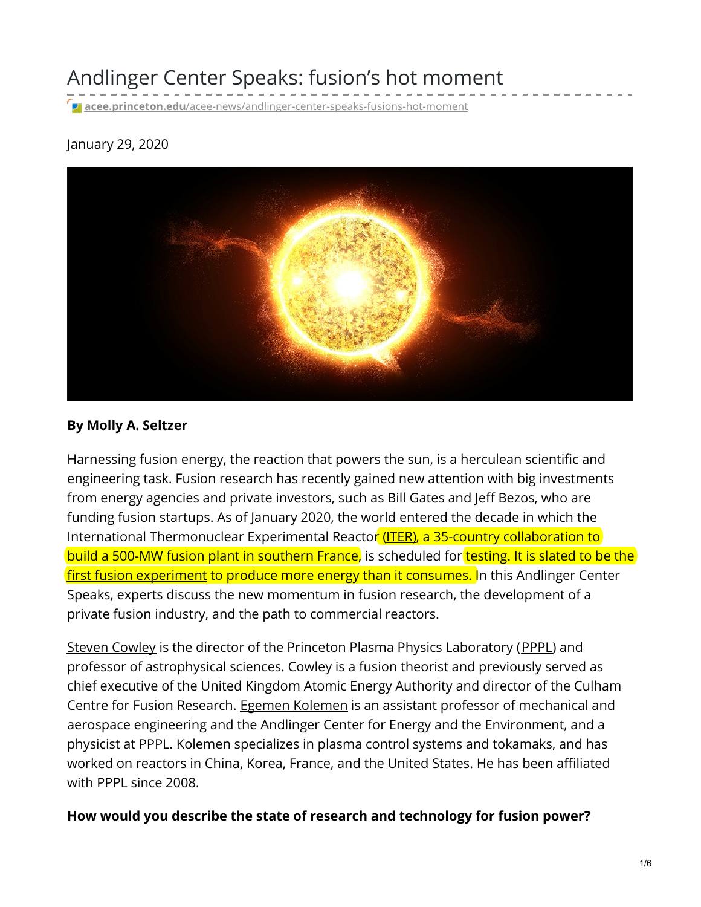Andlinger Center Speaks: fusion's hot moment

**acee.princeton.edu**[/acee-news/andlinger-center-speaks-fusions-hot-moment](https://acee.princeton.edu/acee-news/andlinger-center-speaks-fusions-hot-moment/)

## January 29, 2020



### **By Molly A. Seltzer**

Harnessing fusion energy, the reaction that powers the sun, is a herculean scientific and engineering task. Fusion research has recently gained new attention with big investments from energy agencies and private investors, such as Bill Gates and Jeff Bezos, who are funding fusion startups. As of January 2020, the world entered the decade in which the International Thermonuclear Experimental Reactor [\(ITER](https://www.iter.org/proj/inafewlines)), a 35-country collaboration to build a 500-MW fusion plant in southern France, is scheduled for testing. It is slated to be the first fusion [experiment](https://www.nytimes.com/2017/03/27/science/fusion-power-plant-iter-france.html) to produce more energy than it consumes. In this Andlinger Center Speaks, experts discuss the new momentum in fusion research, the development of a private fusion industry, and the path to commercial reactors.

Steven [Cowley](https://www.pppl.gov/people/sir-steven-c-cowley) is the director of the Princeton Plasma Physics Laboratory ([PPPL](https://www.pppl.gov/)) and professor of astrophysical sciences. Cowley is a fusion theorist and previously served as chief executive of the United Kingdom Atomic Energy Authority and director of the Culham Centre for Fusion Research. Egemen [Kolemen](http://www.princeton.edu/~ekolemen/) is an assistant professor of mechanical and aerospace engineering and the Andlinger Center for Energy and the Environment, and a physicist at PPPL. Kolemen specializes in plasma control systems and tokamaks, and has worked on reactors in China, Korea, France, and the United States. He has been affiliated with PPPL since 2008.

**How would you describe the state of research and technology for fusion power?**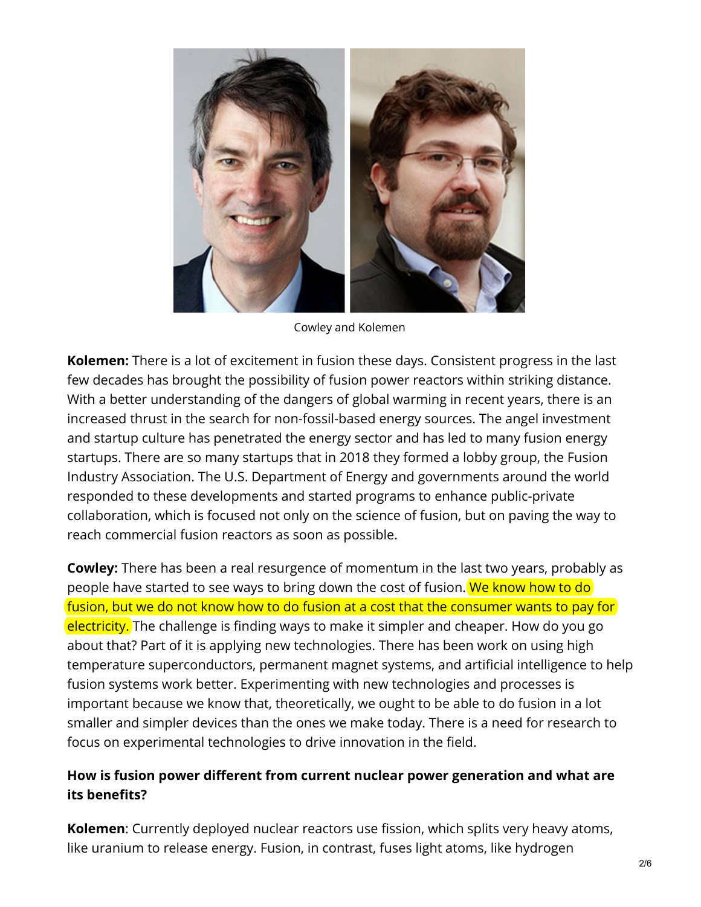

Cowley and Kolemen

**Kolemen:** There is a lot of excitement in fusion these days. Consistent progress in the last few decades has brought the possibility of fusion power reactors within striking distance. With a better understanding of the dangers of global warming in recent years, there is an increased thrust in the search for non-fossil-based energy sources. The angel investment and startup culture has penetrated the energy sector and has led to many fusion energy startups. There are so many startups that in 2018 they formed a lobby group, the Fusion Industry Association. The U.S. Department of Energy and governments around the world responded to these developments and started programs to enhance public-private collaboration, which is focused not only on the science of fusion, but on paving the way to reach commercial fusion reactors as soon as possible.

**Cowley:** There has been a real resurgence of momentum in the last two years, probably as people have started to see ways to bring down the cost of fusion. We know how to do fusion, but we do not know how to do fusion at a cost that the consumer wants to pay for electricity. The challenge is finding ways to make it simpler and cheaper. How do you go about that? Part of it is applying new technologies. There has been work on using high temperature superconductors, permanent magnet systems, and artificial intelligence to help fusion systems work better. Experimenting with new technologies and processes is important because we know that, theoretically, we ought to be able to do fusion in a lot smaller and simpler devices than the ones we make today. There is a need for research to focus on experimental technologies to drive innovation in the field.

## **How is fusion power different from current nuclear power generation and what are its benefits?**

**Kolemen**: Currently deployed nuclear reactors use fission, which splits very heavy atoms, like uranium to release energy. Fusion, in contrast, fuses light atoms, like hydrogen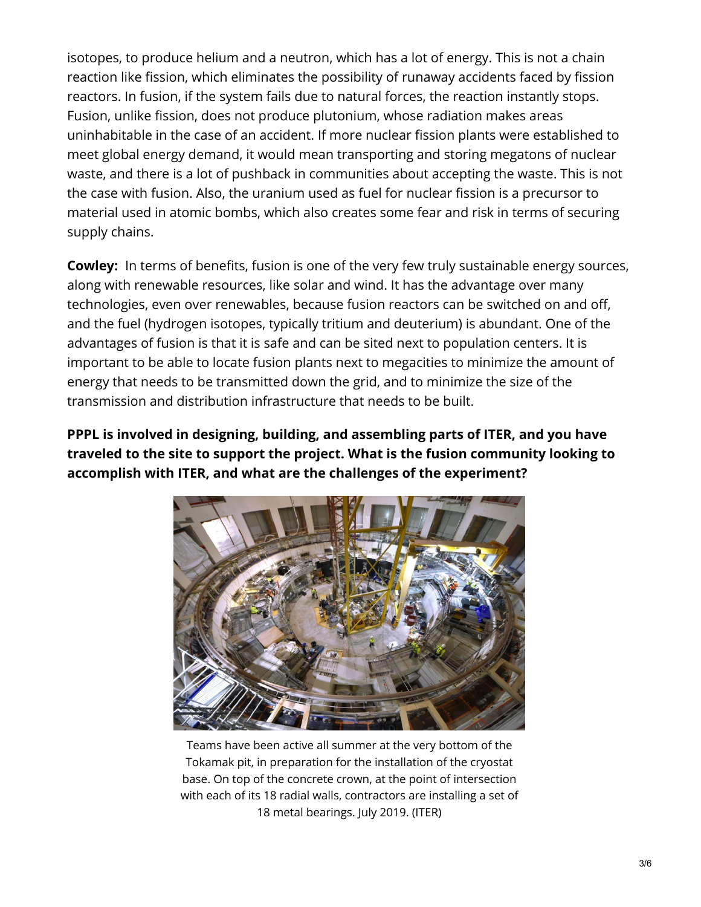isotopes, to produce helium and a neutron, which has a lot of energy. This is not a chain reaction like fission, which eliminates the possibility of runaway accidents faced by fission reactors. In fusion, if the system fails due to natural forces, the reaction instantly stops. Fusion, unlike fission, does not produce plutonium, whose radiation makes areas uninhabitable in the case of an accident. If more nuclear fission plants were established to meet global energy demand, it would mean transporting and storing megatons of nuclear waste, and there is a lot of pushback in communities about accepting the waste. This is not the case with fusion. Also, the uranium used as fuel for nuclear fission is a precursor to material used in atomic bombs, which also creates some fear and risk in terms of securing supply chains.

**Cowley:** In terms of benefits, fusion is one of the very few truly sustainable energy sources, along with renewable resources, like solar and wind. It has the advantage over many technologies, even over renewables, because fusion reactors can be switched on and off, and the fuel (hydrogen isotopes, typically tritium and deuterium) is abundant. One of the advantages of fusion is that it is safe and can be sited next to population centers. It is important to be able to locate fusion plants next to megacities to minimize the amount of energy that needs to be transmitted down the grid, and to minimize the size of the transmission and distribution infrastructure that needs to be built.

**PPPL is involved in designing, building, and assembling parts of ITER, and you have traveled to the site to support the project. What is the fusion community looking to accomplish with ITER, and what are the challenges of the experiment?**



Teams have been active all summer at the very bottom of the Tokamak pit, in preparation for the installation of the cryostat base. On top of the concrete crown, at the point of intersection with each of its 18 radial walls, contractors are installing a set of 18 metal bearings. July 2019. (ITER)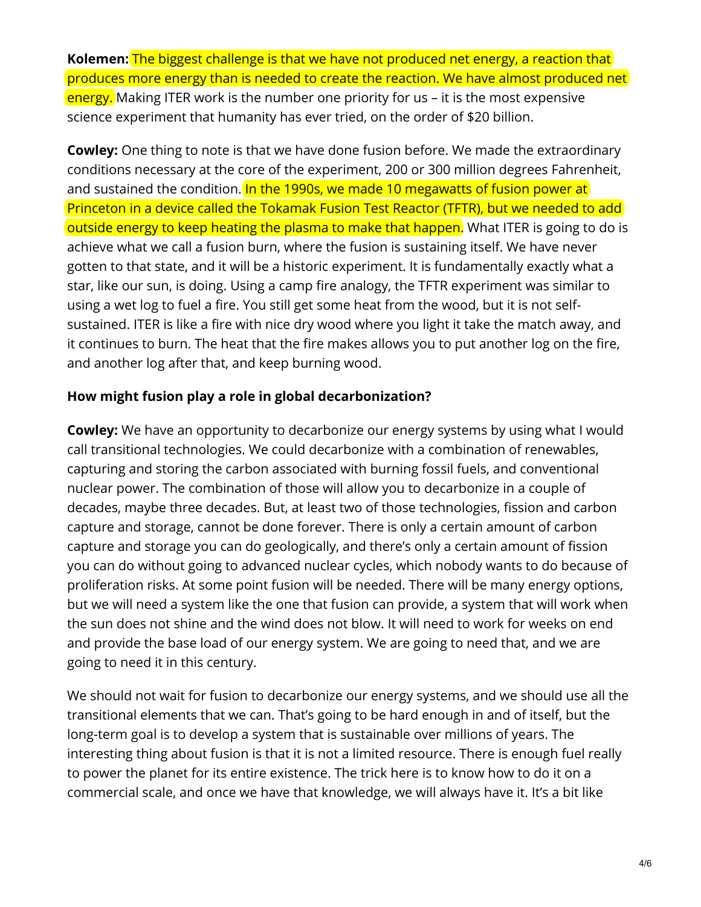**Kolemen:** The biggest challenge is that we have not produced net energy, a reaction that produces more energy than is needed to create the reaction. We have almost produced net energy. Making ITER work is the number one priority for us – it is the most expensive science experiment that humanity has ever tried, on the order of \$20 billion.

**Cowley:** One thing to note is that we have done fusion before. We made the extraordinary conditions necessary at the core of the experiment, 200 or 300 million degrees Fahrenheit, and sustained the condition. In the 1990s, we made 10 megawatts of fusion power at Princeton in a device called the Tokamak Fusion Test Reactor (TFTR), but we needed to add outside energy to keep heating the plasma to make that happen. What ITER is going to do is achieve what we call a fusion burn, where the fusion is sustaining itself. We have never gotten to that state, and it will be a historic experiment. It is fundamentally exactly what a star, like our sun, is doing. Using a camp fire analogy, the TFTR experiment was similar to using a wet log to fuel a fire. You still get some heat from the wood, but it is not selfsustained. ITER is like a fire with nice dry wood where you light it take the match away, and it continues to burn. The heat that the fire makes allows you to put another log on the fire, and another log after that, and keep burning wood.

## **How might fusion play a role in global decarbonization?**

**Cowley:** We have an opportunity to decarbonize our energy systems by using what I would call transitional technologies. We could decarbonize with a combination of renewables, capturing and storing the carbon associated with burning fossil fuels, and conventional nuclear power. The combination of those will allow you to decarbonize in a couple of decades, maybe three decades. But, at least two of those technologies, fission and carbon capture and storage, cannot be done forever. There is only a certain amount of carbon capture and storage you can do geologically, and there's only a certain amount of fission you can do without going to advanced nuclear cycles, which nobody wants to do because of proliferation risks. At some point fusion will be needed. There will be many energy options, but we will need a system like the one that fusion can provide, a system that will work when the sun does not shine and the wind does not blow. It will need to work for weeks on end and provide the base load of our energy system. We are going to need that, and we are going to need it in this century.

We should not wait for fusion to decarbonize our energy systems, and we should use all the transitional elements that we can. That's going to be hard enough in and of itself, but the long-term goal is to develop a system that is sustainable over millions of years. The interesting thing about fusion is that it is not a limited resource. There is enough fuel really to power the planet for its entire existence. The trick here is to know how to do it on a commercial scale, and once we have that knowledge, we will always have it. It's a bit like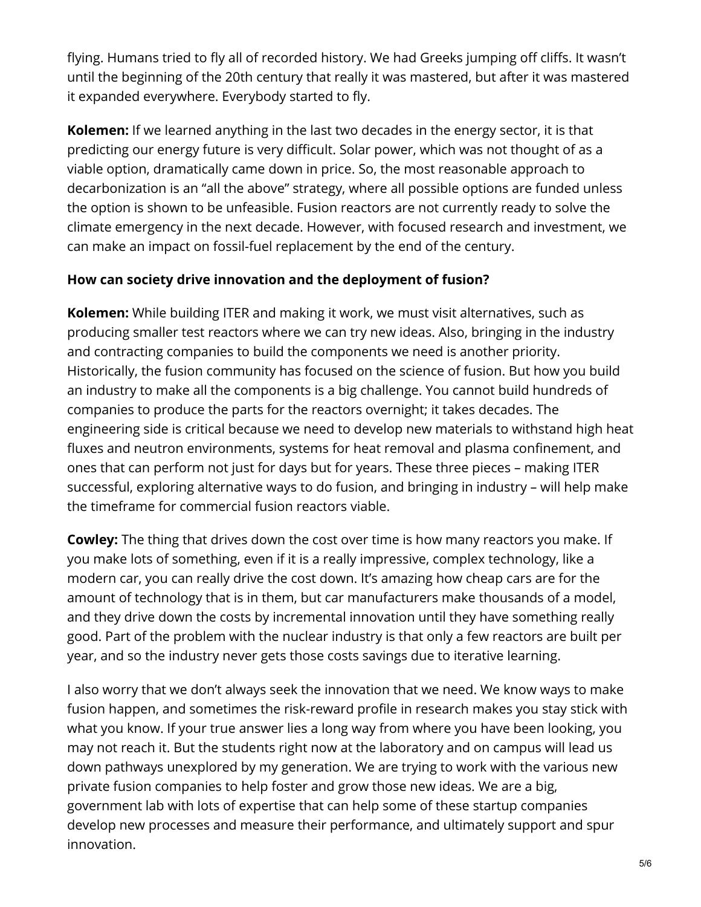flying. Humans tried to fly all of recorded history. We had Greeks jumping off cliffs. It wasn't until the beginning of the 20th century that really it was mastered, but after it was mastered it expanded everywhere. Everybody started to fly.

**Kolemen:** If we learned anything in the last two decades in the energy sector, it is that predicting our energy future is very difficult. Solar power, which was not thought of as a viable option, dramatically came down in price. So, the most reasonable approach to decarbonization is an "all the above" strategy, where all possible options are funded unless the option is shown to be unfeasible. Fusion reactors are not currently ready to solve the climate emergency in the next decade. However, with focused research and investment, we can make an impact on fossil-fuel replacement by the end of the century.

# **How can society drive innovation and the deployment of fusion?**

**Kolemen:** While building ITER and making it work, we must visit alternatives, such as producing smaller test reactors where we can try new ideas. Also, bringing in the industry and contracting companies to build the components we need is another priority. Historically, the fusion community has focused on the science of fusion. But how you build an industry to make all the components is a big challenge. You cannot build hundreds of companies to produce the parts for the reactors overnight; it takes decades. The engineering side is critical because we need to develop new materials to withstand high heat fluxes and neutron environments, systems for heat removal and plasma confinement, and ones that can perform not just for days but for years. These three pieces – making ITER successful, exploring alternative ways to do fusion, and bringing in industry – will help make the timeframe for commercial fusion reactors viable.

**Cowley:** The thing that drives down the cost over time is how many reactors you make. If you make lots of something, even if it is a really impressive, complex technology, like a modern car, you can really drive the cost down. It's amazing how cheap cars are for the amount of technology that is in them, but car manufacturers make thousands of a model, and they drive down the costs by incremental innovation until they have something really good. Part of the problem with the nuclear industry is that only a few reactors are built per year, and so the industry never gets those costs savings due to iterative learning.

I also worry that we don't always seek the innovation that we need. We know ways to make fusion happen, and sometimes the risk-reward profile in research makes you stay stick with what you know. If your true answer lies a long way from where you have been looking, you may not reach it. But the students right now at the laboratory and on campus will lead us down pathways unexplored by my generation. We are trying to work with the various new private fusion companies to help foster and grow those new ideas. We are a big, government lab with lots of expertise that can help some of these startup companies develop new processes and measure their performance, and ultimately support and spur innovation.